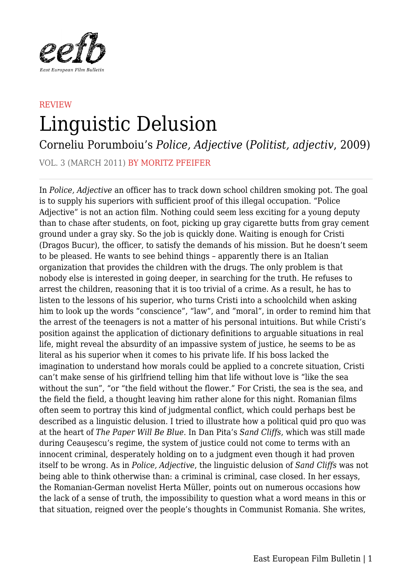

## **REVIEW** Linguistic Delusion

Corneliu Porumboiu's *Police, Adjective* (*Politist, adjectiv*, 2009)

VOL. 3 (MARCH 2011) BY MORITZ PFEIFER

In *Police, Adjective* an officer has to track down school children smoking pot. The goal is to supply his superiors with sufficient proof of this illegal occupation. "Police Adjective" is not an action film. Nothing could seem less exciting for a young deputy than to chase after students, on foot, picking up gray cigarette butts from gray cement ground under a gray sky. So the job is quickly done. Waiting is enough for Cristi (Dragos Bucur), the officer, to satisfy the demands of his mission. But he doesn't seem to be pleased. He wants to see behind things – apparently there is an Italian organization that provides the children with the drugs. The only problem is that nobody else is interested in going deeper, in searching for the truth. He refuses to arrest the children, reasoning that it is too trivial of a crime. As a result, he has to listen to the lessons of his superior, who turns Cristi into a schoolchild when asking him to look up the words "conscience", "law", and "moral", in order to remind him that the arrest of the teenagers is not a matter of his personal intuitions. But while Cristi's position against the application of dictionary definitions to arguable situations in real life, might reveal the absurdity of an impassive system of justice, he seems to be as literal as his superior when it comes to his private life. If his boss lacked the imagination to understand how morals could be applied to a concrete situation, Cristi can't make sense of his girlfriend telling him that life without love is "like the sea without the sun", "or "the field without the flower." For Cristi, the sea is the sea, and the field the field, a thought leaving him rather alone for this night. Romanian films often seem to portray this kind of judgmental conflict, which could perhaps best be described as a linguistic delusion. I tried to illustrate how a political quid pro quo was at the heart of *The Paper Will Be Blue*. In Dan Pita's *Sand Cliffs*, which was still made during Ceauşescu's regime, the system of justice could not come to terms with an innocent criminal, desperately holding on to a judgment even though it had proven itself to be wrong. As in *Police, Adjective*, the linguistic delusion of *Sand Cliffs* was not being able to think otherwise than: a criminal is criminal, case closed. In her essays, the Romanian-German novelist Herta Müller, points out on numerous occasions how the lack of a sense of truth, the impossibility to question what a word means in this or that situation, reigned over the people's thoughts in Communist Romania. She writes,